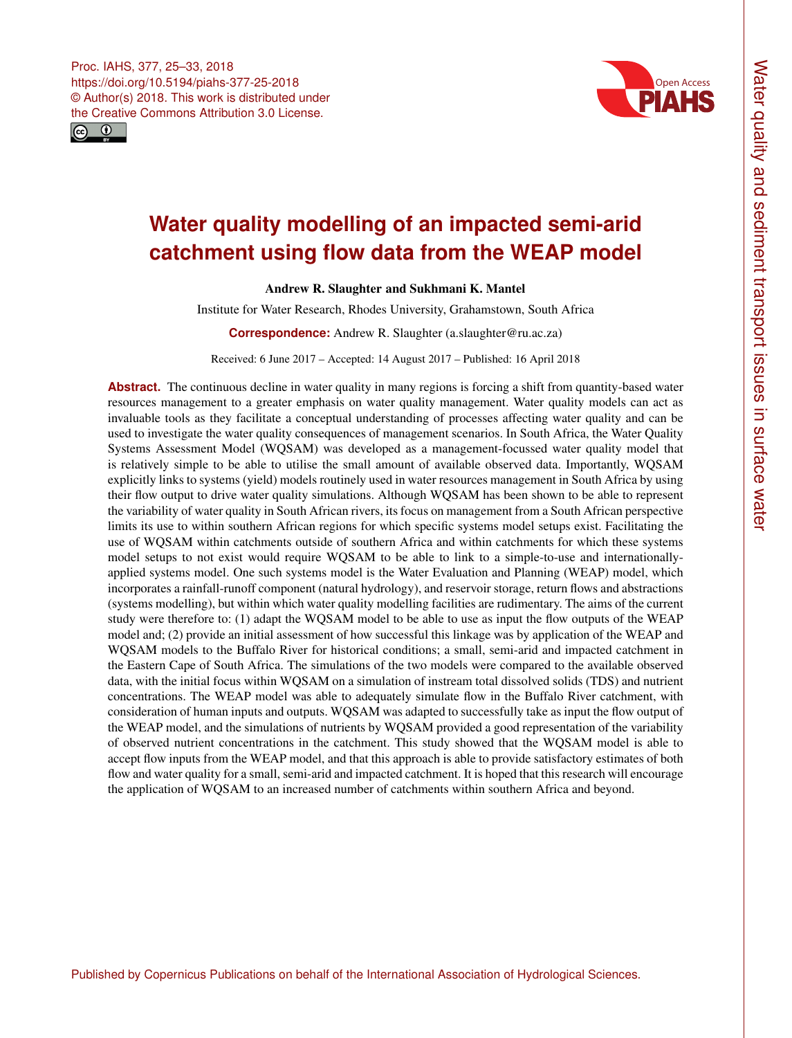<span id="page-0-0"></span>



# **Water quality modelling of an impacted semi-arid catchment using flow data from the WEAP model**

Andrew R. Slaughter and Sukhmani K. Mantel

Institute for Water Research, Rhodes University, Grahamstown, South Africa

**Correspondence:** Andrew R. Slaughter (a.slaughter@ru.ac.za)

Received: 6 June 2017 – Accepted: 14 August 2017 – Published: 16 April 2018

**Abstract.** The continuous decline in water quality in many regions is forcing a shift from quantity-based water resources management to a greater emphasis on water quality management. Water quality models can act as invaluable tools as they facilitate a conceptual understanding of processes affecting water quality and can be used to investigate the water quality consequences of management scenarios. In South Africa, the Water Quality Systems Assessment Model (WQSAM) was developed as a management-focussed water quality model that is relatively simple to be able to utilise the small amount of available observed data. Importantly, WQSAM explicitly links to systems (yield) models routinely used in water resources management in South Africa by using their flow output to drive water quality simulations. Although WQSAM has been shown to be able to represent the variability of water quality in South African rivers, its focus on management from a South African perspective limits its use to within southern African regions for which specific systems model setups exist. Facilitating the use of WQSAM within catchments outside of southern Africa and within catchments for which these systems model setups to not exist would require WQSAM to be able to link to a simple-to-use and internationallyapplied systems model. One such systems model is the Water Evaluation and Planning (WEAP) model, which incorporates a rainfall-runoff component (natural hydrology), and reservoir storage, return flows and abstractions (systems modelling), but within which water quality modelling facilities are rudimentary. The aims of the current study were therefore to: (1) adapt the WQSAM model to be able to use as input the flow outputs of the WEAP model and; (2) provide an initial assessment of how successful this linkage was by application of the WEAP and WQSAM models to the Buffalo River for historical conditions; a small, semi-arid and impacted catchment in the Eastern Cape of South Africa. The simulations of the two models were compared to the available observed data, with the initial focus within WQSAM on a simulation of instream total dissolved solids (TDS) and nutrient concentrations. The WEAP model was able to adequately simulate flow in the Buffalo River catchment, with consideration of human inputs and outputs. WQSAM was adapted to successfully take as input the flow output of the WEAP model, and the simulations of nutrients by WQSAM provided a good representation of the variability of observed nutrient concentrations in the catchment. This study showed that the WQSAM model is able to accept flow inputs from the WEAP model, and that this approach is able to provide satisfactory estimates of both flow and water quality for a small, semi-arid and impacted catchment. It is hoped that this research will encourage the application of WQSAM to an increased number of catchments within southern Africa and beyond.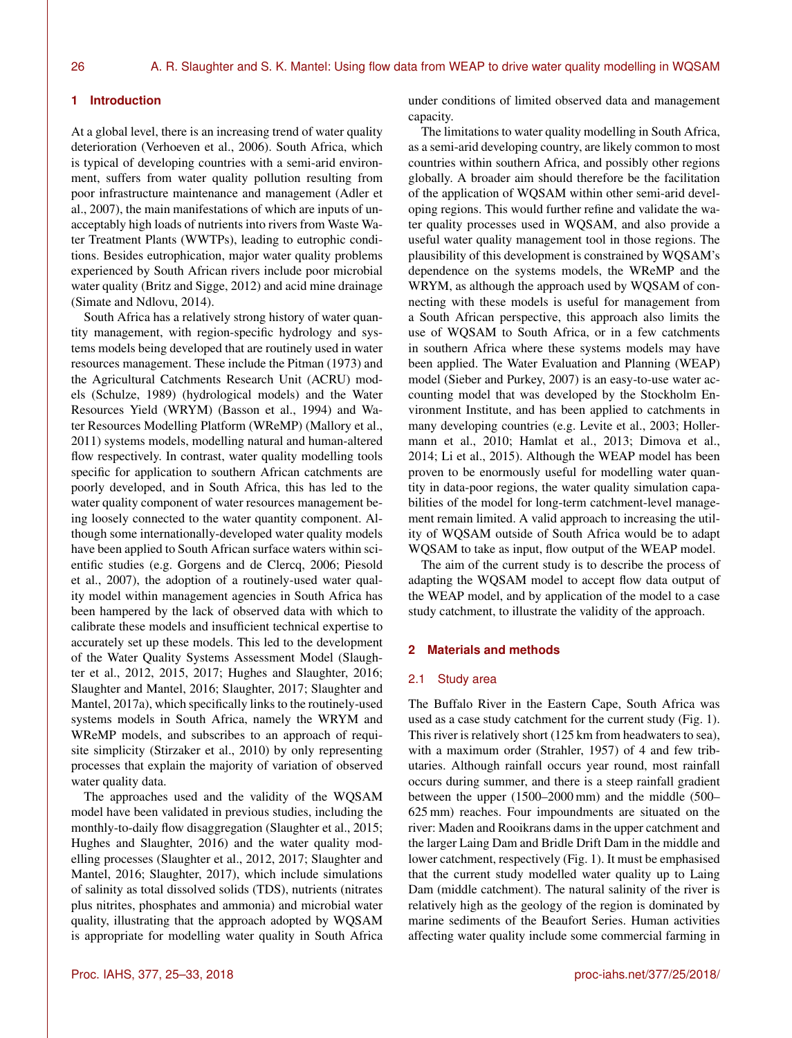## **1 Introduction**

At a global level, there is an increasing trend of water quality deterioration (Verhoeven et al., 2006). South Africa, which is typical of developing countries with a semi-arid environment, suffers from water quality pollution resulting from poor infrastructure maintenance and management (Adler et al., 2007), the main manifestations of which are inputs of unacceptably high loads of nutrients into rivers from Waste Water Treatment Plants (WWTPs), leading to eutrophic conditions. Besides eutrophication, major water quality problems experienced by South African rivers include poor microbial water quality (Britz and Sigge, 2012) and acid mine drainage (Simate and Ndlovu, 2014).

South Africa has a relatively strong history of water quantity management, with region-specific hydrology and systems models being developed that are routinely used in water resources management. These include the Pitman (1973) and the Agricultural Catchments Research Unit (ACRU) models (Schulze, 1989) (hydrological models) and the Water Resources Yield (WRYM) (Basson et al., 1994) and Water Resources Modelling Platform (WReMP) (Mallory et al., 2011) systems models, modelling natural and human-altered flow respectively. In contrast, water quality modelling tools specific for application to southern African catchments are poorly developed, and in South Africa, this has led to the water quality component of water resources management being loosely connected to the water quantity component. Although some internationally-developed water quality models have been applied to South African surface waters within scientific studies (e.g. Gorgens and de Clercq, 2006; Piesold et al., 2007), the adoption of a routinely-used water quality model within management agencies in South Africa has been hampered by the lack of observed data with which to calibrate these models and insufficient technical expertise to accurately set up these models. This led to the development of the Water Quality Systems Assessment Model (Slaughter et al., 2012, 2015, 2017; Hughes and Slaughter, 2016; Slaughter and Mantel, 2016; Slaughter, 2017; Slaughter and Mantel, 2017a), which specifically links to the routinely-used systems models in South Africa, namely the WRYM and WReMP models, and subscribes to an approach of requisite simplicity (Stirzaker et al., 2010) by only representing processes that explain the majority of variation of observed water quality data.

The approaches used and the validity of the WQSAM model have been validated in previous studies, including the monthly-to-daily flow disaggregation (Slaughter et al., 2015; Hughes and Slaughter, 2016) and the water quality modelling processes (Slaughter et al., 2012, 2017; Slaughter and Mantel, 2016; Slaughter, 2017), which include simulations of salinity as total dissolved solids (TDS), nutrients (nitrates plus nitrites, phosphates and ammonia) and microbial water quality, illustrating that the approach adopted by WQSAM is appropriate for modelling water quality in South Africa under conditions of limited observed data and management capacity.

The limitations to water quality modelling in South Africa, as a semi-arid developing country, are likely common to most countries within southern Africa, and possibly other regions globally. A broader aim should therefore be the facilitation of the application of WQSAM within other semi-arid developing regions. This would further refine and validate the water quality processes used in WQSAM, and also provide a useful water quality management tool in those regions. The plausibility of this development is constrained by WQSAM's dependence on the systems models, the WReMP and the WRYM, as although the approach used by WQSAM of connecting with these models is useful for management from a South African perspective, this approach also limits the use of WQSAM to South Africa, or in a few catchments in southern Africa where these systems models may have been applied. The Water Evaluation and Planning (WEAP) model (Sieber and Purkey, 2007) is an easy-to-use water accounting model that was developed by the Stockholm Environment Institute, and has been applied to catchments in many developing countries (e.g. Levite et al., 2003; Hollermann et al., 2010; Hamlat et al., 2013; Dimova et al., 2014; Li et al., 2015). Although the WEAP model has been proven to be enormously useful for modelling water quantity in data-poor regions, the water quality simulation capabilities of the model for long-term catchment-level management remain limited. A valid approach to increasing the utility of WQSAM outside of South Africa would be to adapt WQSAM to take as input, flow output of the WEAP model.

The aim of the current study is to describe the process of adapting the WQSAM model to accept flow data output of the WEAP model, and by application of the model to a case study catchment, to illustrate the validity of the approach.

## **2 Materials and methods**

#### 2.1 Study area

The Buffalo River in the Eastern Cape, South Africa was used as a case study catchment for the current study (Fig. 1). This river is relatively short (125 km from headwaters to sea), with a maximum order (Strahler, 1957) of 4 and few tributaries. Although rainfall occurs year round, most rainfall occurs during summer, and there is a steep rainfall gradient between the upper (1500–2000 mm) and the middle (500– 625 mm) reaches. Four impoundments are situated on the river: Maden and Rooikrans dams in the upper catchment and the larger Laing Dam and Bridle Drift Dam in the middle and lower catchment, respectively (Fig. 1). It must be emphasised that the current study modelled water quality up to Laing Dam (middle catchment). The natural salinity of the river is relatively high as the geology of the region is dominated by marine sediments of the Beaufort Series. Human activities affecting water quality include some commercial farming in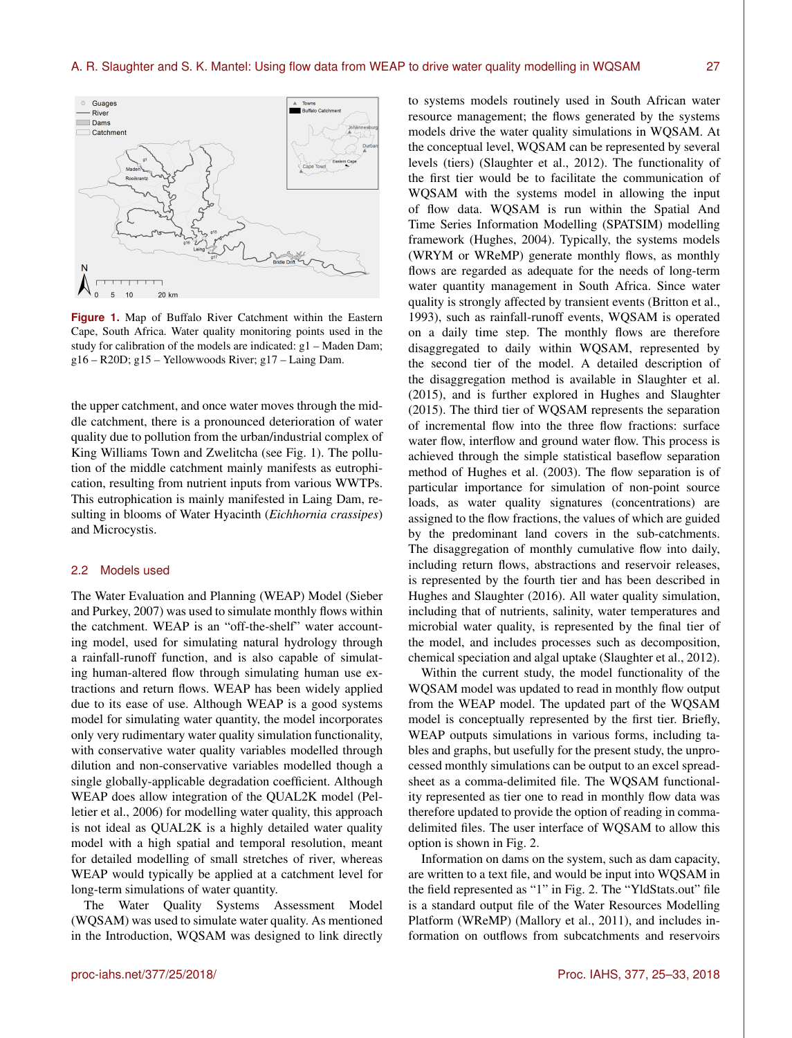

**Figure 1.** Map of Buffalo River Catchment within the Eastern Cape, South Africa. Water quality monitoring points used in the study for calibration of the models are indicated: g1 – Maden Dam; g16 – R20D; g15 – Yellowwoods River; g17 – Laing Dam.

the upper catchment, and once water moves through the middle catchment, there is a pronounced deterioration of water quality due to pollution from the urban/industrial complex of King Williams Town and Zwelitcha (see Fig. 1). The pollution of the middle catchment mainly manifests as eutrophication, resulting from nutrient inputs from various WWTPs. This eutrophication is mainly manifested in Laing Dam, resulting in blooms of Water Hyacinth (*Eichhornia crassipes*) and Microcystis.

## 2.2 Models used

-5

 $10$ 

20 km

The Water Evaluation and Planning (WEAP) Model (Sieber and Purkey, 2007) was used to simulate monthly flows within the catchment. WEAP is an "off-the-shelf" water accounting model, used for simulating natural hydrology through a rainfall-runoff function, and is also capable of simulating human-altered flow through simulating human use extractions and return flows. WEAP has been widely applied due to its ease of use. Although WEAP is a good systems model for simulating water quantity, the model incorporates only very rudimentary water quality simulation functionality, with conservative water quality variables modelled through dilution and non-conservative variables modelled though a single globally-applicable degradation coefficient. Although WEAP does allow integration of the QUAL2K model (Pelletier et al., 2006) for modelling water quality, this approach is not ideal as QUAL2K is a highly detailed water quality model with a high spatial and temporal resolution, meant for detailed modelling of small stretches of river, whereas WEAP would typically be applied at a catchment level for long-term simulations of water quantity.

The Water Quality Systems Assessment Model (WQSAM) was used to simulate water quality. As mentioned in the Introduction, WQSAM was designed to link directly to systems models routinely used in South African water resource management; the flows generated by the systems models drive the water quality simulations in WQSAM. At the conceptual level, WQSAM can be represented by several levels (tiers) (Slaughter et al., 2012). The functionality of the first tier would be to facilitate the communication of WQSAM with the systems model in allowing the input of flow data. WQSAM is run within the Spatial And Time Series Information Modelling (SPATSIM) modelling framework (Hughes, 2004). Typically, the systems models (WRYM or WReMP) generate monthly flows, as monthly flows are regarded as adequate for the needs of long-term water quantity management in South Africa. Since water quality is strongly affected by transient events (Britton et al., 1993), such as rainfall-runoff events, WQSAM is operated on a daily time step. The monthly flows are therefore disaggregated to daily within WQSAM, represented by the second tier of the model. A detailed description of the disaggregation method is available in Slaughter et al. (2015), and is further explored in Hughes and Slaughter (2015). The third tier of WQSAM represents the separation of incremental flow into the three flow fractions: surface water flow, interflow and ground water flow. This process is achieved through the simple statistical baseflow separation method of Hughes et al. (2003). The flow separation is of particular importance for simulation of non-point source loads, as water quality signatures (concentrations) are assigned to the flow fractions, the values of which are guided by the predominant land covers in the sub-catchments. The disaggregation of monthly cumulative flow into daily, including return flows, abstractions and reservoir releases, is represented by the fourth tier and has been described in Hughes and Slaughter (2016). All water quality simulation, including that of nutrients, salinity, water temperatures and microbial water quality, is represented by the final tier of the model, and includes processes such as decomposition, chemical speciation and algal uptake (Slaughter et al., 2012).

Within the current study, the model functionality of the WQSAM model was updated to read in monthly flow output from the WEAP model. The updated part of the WQSAM model is conceptually represented by the first tier. Briefly, WEAP outputs simulations in various forms, including tables and graphs, but usefully for the present study, the unprocessed monthly simulations can be output to an excel spreadsheet as a comma-delimited file. The WQSAM functionality represented as tier one to read in monthly flow data was therefore updated to provide the option of reading in commadelimited files. The user interface of WQSAM to allow this option is shown in Fig. 2.

Information on dams on the system, such as dam capacity, are written to a text file, and would be input into WQSAM in the field represented as "1" in Fig. 2. The "YldStats.out" file is a standard output file of the Water Resources Modelling Platform (WReMP) (Mallory et al., 2011), and includes information on outflows from subcatchments and reservoirs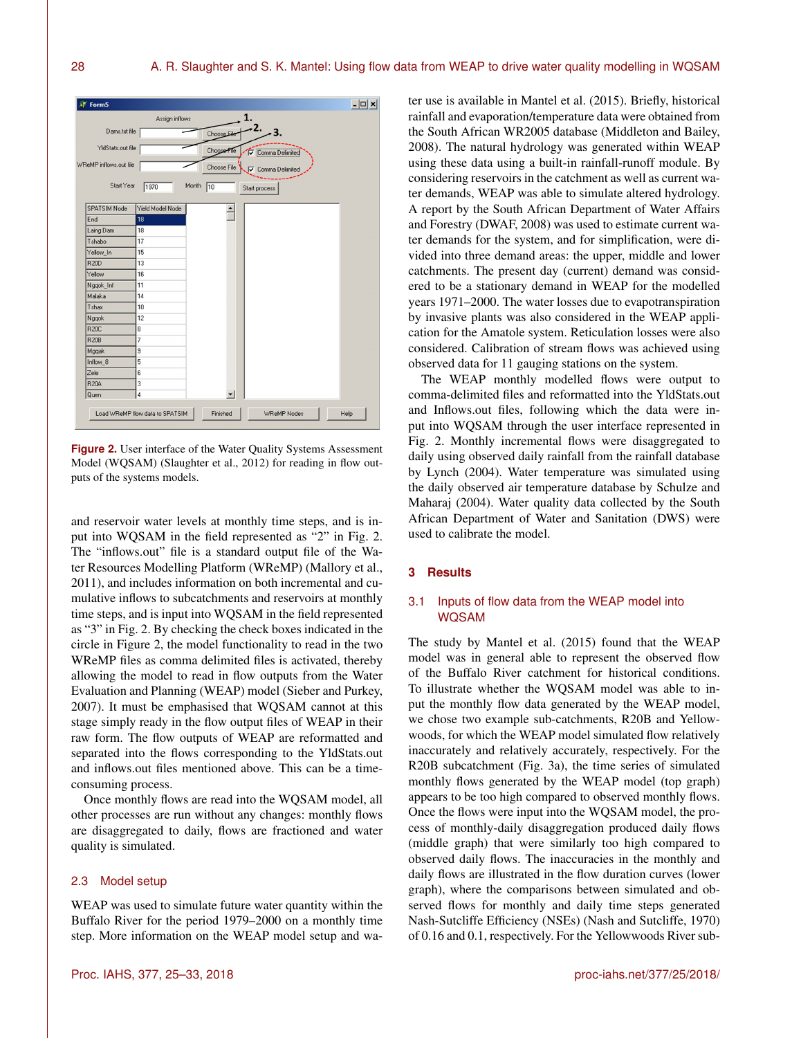

**Figure 2.** User interface of the Water Quality Systems Assessment Model (WQSAM) (Slaughter et al., 2012) for reading in flow outputs of the systems models.

and reservoir water levels at monthly time steps, and is input into WQSAM in the field represented as "2" in Fig. 2. The "inflows.out" file is a standard output file of the Water Resources Modelling Platform (WReMP) (Mallory et al., 2011), and includes information on both incremental and cumulative inflows to subcatchments and reservoirs at monthly time steps, and is input into WQSAM in the field represented as "3" in Fig. 2. By checking the check boxes indicated in the circle in Figure 2, the model functionality to read in the two WReMP files as comma delimited files is activated, thereby allowing the model to read in flow outputs from the Water Evaluation and Planning (WEAP) model (Sieber and Purkey, 2007). It must be emphasised that WQSAM cannot at this stage simply ready in the flow output files of WEAP in their raw form. The flow outputs of WEAP are reformatted and separated into the flows corresponding to the YldStats.out and inflows.out files mentioned above. This can be a timeconsuming process.

Once monthly flows are read into the WQSAM model, all other processes are run without any changes: monthly flows are disaggregated to daily, flows are fractioned and water quality is simulated.

## 2.3 Model setup

WEAP was used to simulate future water quantity within the Buffalo River for the period 1979–2000 on a monthly time step. More information on the WEAP model setup and water use is available in Mantel et al. (2015). Briefly, historical rainfall and evaporation/temperature data were obtained from the South African WR2005 database (Middleton and Bailey, 2008). The natural hydrology was generated within WEAP using these data using a built-in rainfall-runoff module. By considering reservoirs in the catchment as well as current water demands, WEAP was able to simulate altered hydrology. A report by the South African Department of Water Affairs and Forestry (DWAF, 2008) was used to estimate current water demands for the system, and for simplification, were divided into three demand areas: the upper, middle and lower catchments. The present day (current) demand was considered to be a stationary demand in WEAP for the modelled years 1971–2000. The water losses due to evapotranspiration by invasive plants was also considered in the WEAP application for the Amatole system. Reticulation losses were also considered. Calibration of stream flows was achieved using observed data for 11 gauging stations on the system.

The WEAP monthly modelled flows were output to comma-delimited files and reformatted into the YldStats.out and Inflows.out files, following which the data were input into WQSAM through the user interface represented in Fig. 2. Monthly incremental flows were disaggregated to daily using observed daily rainfall from the rainfall database by Lynch (2004). Water temperature was simulated using the daily observed air temperature database by Schulze and Maharaj (2004). Water quality data collected by the South African Department of Water and Sanitation (DWS) were used to calibrate the model.

## **3 Results**

## 3.1 Inputs of flow data from the WEAP model into WQSAM

The study by Mantel et al. (2015) found that the WEAP model was in general able to represent the observed flow of the Buffalo River catchment for historical conditions. To illustrate whether the WQSAM model was able to input the monthly flow data generated by the WEAP model, we chose two example sub-catchments, R20B and Yellowwoods, for which the WEAP model simulated flow relatively inaccurately and relatively accurately, respectively. For the R20B subcatchment (Fig. 3a), the time series of simulated monthly flows generated by the WEAP model (top graph) appears to be too high compared to observed monthly flows. Once the flows were input into the WQSAM model, the process of monthly-daily disaggregation produced daily flows (middle graph) that were similarly too high compared to observed daily flows. The inaccuracies in the monthly and daily flows are illustrated in the flow duration curves (lower graph), where the comparisons between simulated and observed flows for monthly and daily time steps generated Nash-Sutcliffe Efficiency (NSEs) (Nash and Sutcliffe, 1970) of 0.16 and 0.1, respectively. For the Yellowwoods River sub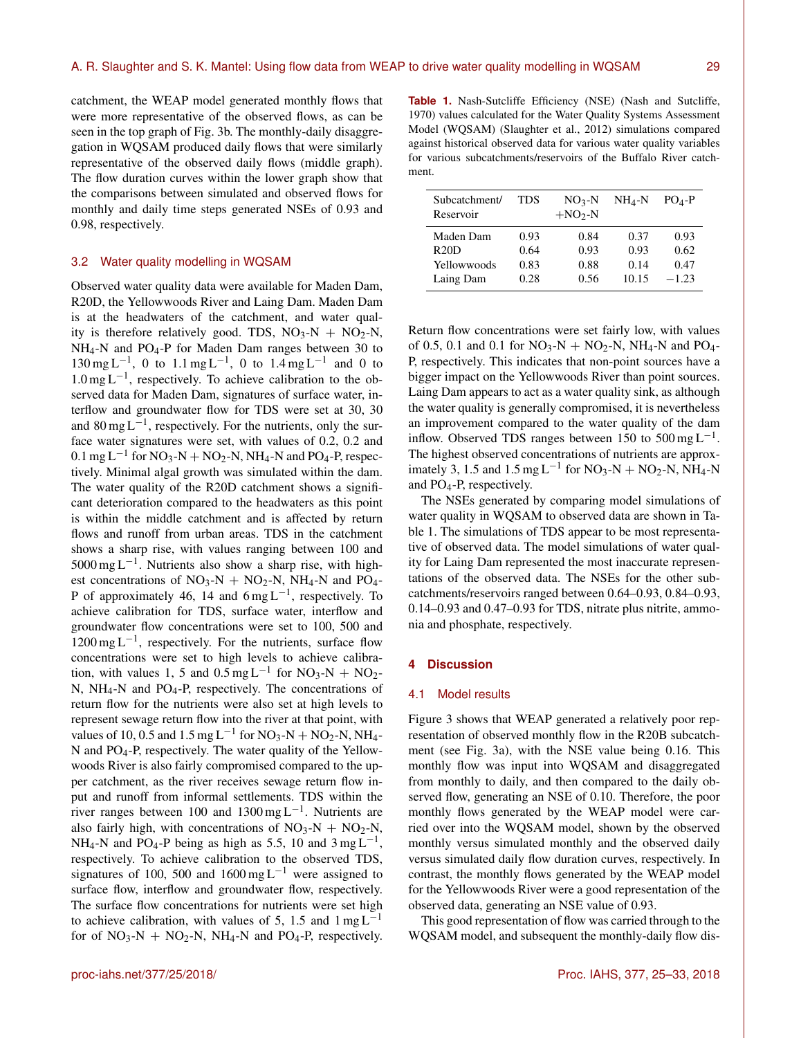catchment, the WEAP model generated monthly flows that were more representative of the observed flows, as can be seen in the top graph of Fig. 3b. The monthly-daily disaggregation in WQSAM produced daily flows that were similarly representative of the observed daily flows (middle graph). The flow duration curves within the lower graph show that the comparisons between simulated and observed flows for monthly and daily time steps generated NSEs of 0.93 and 0.98, respectively.

## 3.2 Water quality modelling in WQSAM

Observed water quality data were available for Maden Dam, R20D, the Yellowwoods River and Laing Dam. Maden Dam is at the headwaters of the catchment, and water quality is therefore relatively good. TDS,  $NO_3-N + NO_2-N$ , NH<sub>4</sub>-N and PO<sub>4</sub>-P for Maden Dam ranges between 30 to  $130 \text{ mg L}^{-1}$ , 0 to  $1.1 \text{ mg L}^{-1}$ , 0 to  $1.4 \text{ mg L}^{-1}$  and 0 to 1.0 mg L−<sup>1</sup> , respectively. To achieve calibration to the observed data for Maden Dam, signatures of surface water, interflow and groundwater flow for TDS were set at 30, 30 and  $80 \text{ mg L}^{-1}$ , respectively. For the nutrients, only the surface water signatures were set, with values of 0.2, 0.2 and  $0.1$  mg L<sup>-1</sup> for NO<sub>3</sub>-N + NO<sub>2</sub>-N, NH<sub>4</sub>-N and PO<sub>4</sub>-P, respectively. Minimal algal growth was simulated within the dam. The water quality of the R20D catchment shows a significant deterioration compared to the headwaters as this point is within the middle catchment and is affected by return flows and runoff from urban areas. TDS in the catchment shows a sharp rise, with values ranging between 100 and 5000 mg L−<sup>1</sup> . Nutrients also show a sharp rise, with highest concentrations of  $NO<sub>3</sub>-N + NO<sub>2</sub>-N$ ,  $NH<sub>4</sub>-N$  and  $PO<sub>4</sub>-$ P of approximately 46, 14 and  $6 \text{ mg L}^{-1}$ , respectively. To achieve calibration for TDS, surface water, interflow and groundwater flow concentrations were set to 100, 500 and  $1200 \text{ mg L}^{-1}$ , respectively. For the nutrients, surface flow concentrations were set to high levels to achieve calibration, with values 1, 5 and  $0.5 \text{ mg L}^{-1}$  for NO<sub>3</sub>-N + NO<sub>2</sub>-N,  $NH_4$ -N and PO<sub>4</sub>-P, respectively. The concentrations of return flow for the nutrients were also set at high levels to represent sewage return flow into the river at that point, with values of 10, 0.5 and 1.5 mg L<sup>-1</sup> for NO<sub>3</sub>-N + NO<sub>2</sub>-N, NH<sub>4</sub>-N and PO4-P, respectively. The water quality of the Yellowwoods River is also fairly compromised compared to the upper catchment, as the river receives sewage return flow input and runoff from informal settlements. TDS within the river ranges between 100 and  $1300 \text{ mg L}^{-1}$ . Nutrients are also fairly high, with concentrations of  $NO<sub>3</sub>-N + NO<sub>2</sub>-N$ , NH<sub>4</sub>-N and PO<sub>4</sub>-P being as high as 5.5, 10 and 3 mg L<sup>-1</sup>, respectively. To achieve calibration to the observed TDS, signatures of 100, 500 and 1600 mg L<sup>-1</sup> were assigned to surface flow, interflow and groundwater flow, respectively. The surface flow concentrations for nutrients were set high to achieve calibration, with values of 5, 1.5 and  $1 \text{ mg } L^{-1}$ for of  $NO_3-N + NO_2-N$ ,  $NH_4-N$  and  $PO_4-P$ , respectively.

**Table 1.** Nash-Sutcliffe Efficiency (NSE) (Nash and Sutcliffe, 1970) values calculated for the Water Quality Systems Assessment Model (WQSAM) (Slaughter et al., 2012) simulations compared against historical observed data for various water quality variables for various subcatchments/reservoirs of the Buffalo River catchment.

| Subcatchment/<br>Reservoir | <b>TDS</b> | $NO3-N$<br>$+NO2-N$ | $NH_4-N$ | $POA-P$ |
|----------------------------|------------|---------------------|----------|---------|
| Maden Dam                  | 0.93       | 0.84                | 0.37     | 0.93    |
| R20D                       | 0.64       | 0.93                | 0.93     | 0.62    |
| Yellowwoods                | 0.83       | 0.88                | 0.14     | 0.47    |
| Laing Dam                  | 0.28       | 0.56                | 10.15    | $-1.23$ |

Return flow concentrations were set fairly low, with values of 0.5, 0.1 and 0.1 for  $NO_3-N + NO_2-N$ ,  $NH_4-N$  and  $PO_4-$ P, respectively. This indicates that non-point sources have a bigger impact on the Yellowwoods River than point sources. Laing Dam appears to act as a water quality sink, as although the water quality is generally compromised, it is nevertheless an improvement compared to the water quality of the dam inflow. Observed TDS ranges between 150 to 500 mg  $L^{-1}$ . The highest observed concentrations of nutrients are approximately 3, 1.5 and  $1.5 \text{ mg L}^{-1}$  for NO<sub>3</sub>-N + NO<sub>2</sub>-N, NH<sub>4</sub>-N and PO4-P, respectively.

The NSEs generated by comparing model simulations of water quality in WQSAM to observed data are shown in Table 1. The simulations of TDS appear to be most representative of observed data. The model simulations of water quality for Laing Dam represented the most inaccurate representations of the observed data. The NSEs for the other subcatchments/reservoirs ranged between 0.64–0.93, 0.84–0.93, 0.14–0.93 and 0.47–0.93 for TDS, nitrate plus nitrite, ammonia and phosphate, respectively.

## **4 Discussion**

## 4.1 Model results

Figure 3 shows that WEAP generated a relatively poor representation of observed monthly flow in the R20B subcatchment (see Fig. 3a), with the NSE value being 0.16. This monthly flow was input into WQSAM and disaggregated from monthly to daily, and then compared to the daily observed flow, generating an NSE of 0.10. Therefore, the poor monthly flows generated by the WEAP model were carried over into the WQSAM model, shown by the observed monthly versus simulated monthly and the observed daily versus simulated daily flow duration curves, respectively. In contrast, the monthly flows generated by the WEAP model for the Yellowwoods River were a good representation of the observed data, generating an NSE value of 0.93.

This good representation of flow was carried through to the WQSAM model, and subsequent the monthly-daily flow dis-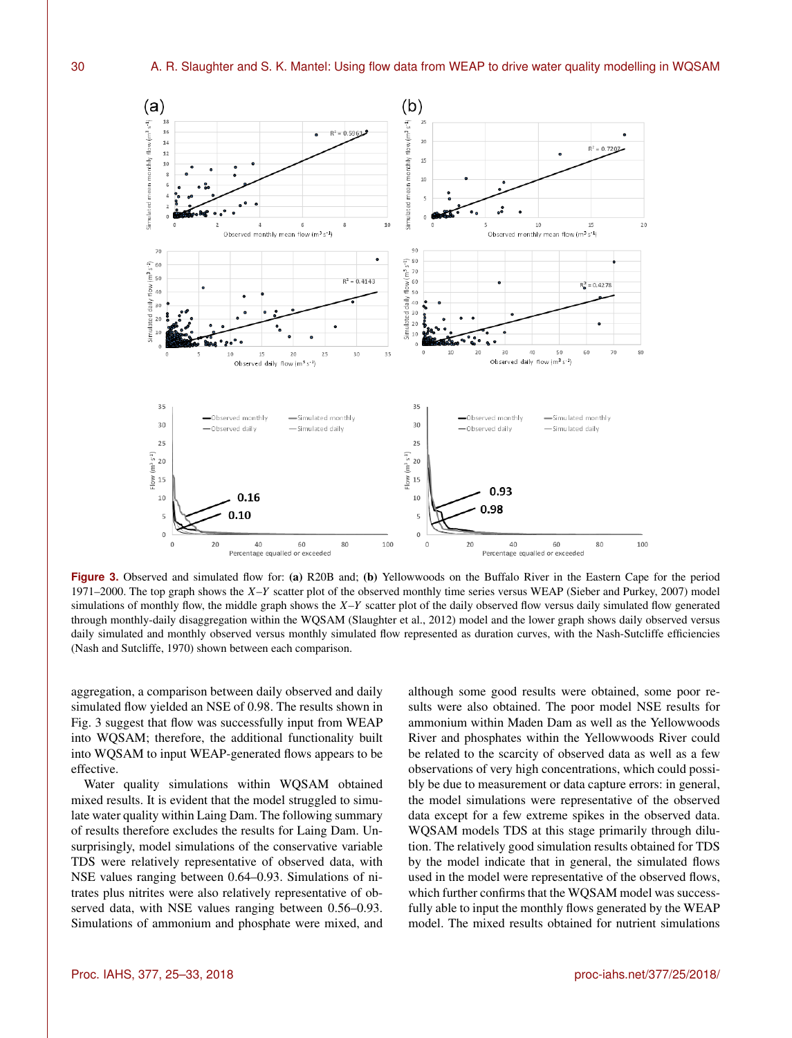

**Figure 3.** Observed and simulated flow for: (a) R20B and; (b) Yellowwoods on the Buffalo River in the Eastern Cape for the period 1971–2000. The top graph shows the  $X-Y$  scatter plot of the observed monthly time series versus WEAP (Sieber and Purkey, 2007) model simulations of monthly flow, the middle graph shows the  $X-Y$  scatter plot of the daily observed flow versus daily simulated flow generated through monthly-daily disaggregation within the WQSAM (Slaughter et al., 2012) model and the lower graph shows daily observed versus daily simulated and monthly observed versus monthly simulated flow represented as duration curves, with the Nash-Sutcliffe efficiencies (Nash and Sutcliffe, 1970) shown between each comparison.

aggregation, a comparison between daily observed and daily simulated flow yielded an NSE of 0.98. The results shown in Fig. 3 suggest that flow was successfully input from WEAP into WQSAM; therefore, the additional functionality built into WQSAM to input WEAP-generated flows appears to be effective.

Water quality simulations within WQSAM obtained mixed results. It is evident that the model struggled to simulate water quality within Laing Dam. The following summary of results therefore excludes the results for Laing Dam. Unsurprisingly, model simulations of the conservative variable TDS were relatively representative of observed data, with NSE values ranging between 0.64–0.93. Simulations of nitrates plus nitrites were also relatively representative of observed data, with NSE values ranging between 0.56–0.93. Simulations of ammonium and phosphate were mixed, and

although some good results were obtained, some poor results were also obtained. The poor model NSE results for ammonium within Maden Dam as well as the Yellowwoods River and phosphates within the Yellowwoods River could be related to the scarcity of observed data as well as a few observations of very high concentrations, which could possibly be due to measurement or data capture errors: in general, the model simulations were representative of the observed data except for a few extreme spikes in the observed data. WQSAM models TDS at this stage primarily through dilution. The relatively good simulation results obtained for TDS by the model indicate that in general, the simulated flows used in the model were representative of the observed flows, which further confirms that the WQSAM model was successfully able to input the monthly flows generated by the WEAP model. The mixed results obtained for nutrient simulations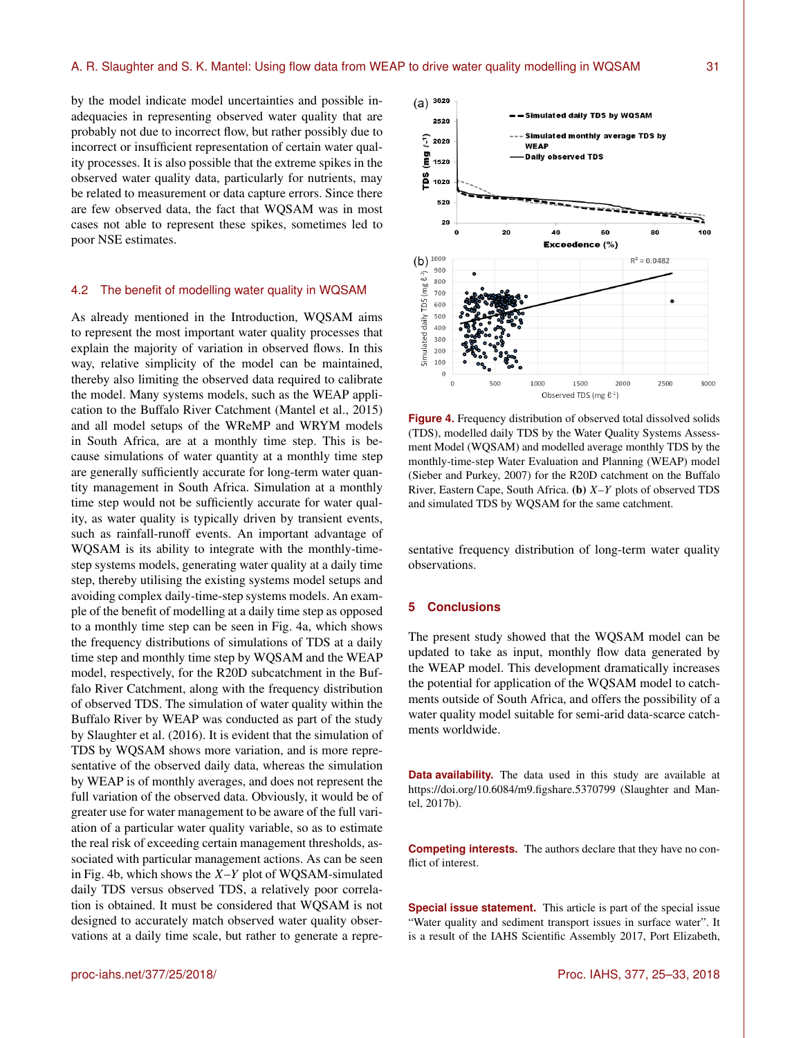by the model indicate model uncertainties and possible inadequacies in representing observed water quality that are probably not due to incorrect flow, but rather possibly due to incorrect or insufficient representation of certain water quality processes. It is also possible that the extreme spikes in the observed water quality data, particularly for nutrients, may be related to measurement or data capture errors. Since there are few observed data, the fact that WQSAM was in most cases not able to represent these spikes, sometimes led to poor NSE estimates.

## 4.2 The benefit of modelling water quality in WQSAM

As already mentioned in the Introduction, WQSAM aims to represent the most important water quality processes that explain the majority of variation in observed flows. In this way, relative simplicity of the model can be maintained, thereby also limiting the observed data required to calibrate the model. Many systems models, such as the WEAP application to the Buffalo River Catchment (Mantel et al., 2015) and all model setups of the WReMP and WRYM models in South Africa, are at a monthly time step. This is because simulations of water quantity at a monthly time step are generally sufficiently accurate for long-term water quantity management in South Africa. Simulation at a monthly time step would not be sufficiently accurate for water quality, as water quality is typically driven by transient events, such as rainfall-runoff events. An important advantage of WQSAM is its ability to integrate with the monthly-timestep systems models, generating water quality at a daily time step, thereby utilising the existing systems model setups and avoiding complex daily-time-step systems models. An example of the benefit of modelling at a daily time step as opposed to a monthly time step can be seen in Fig. 4a, which shows the frequency distributions of simulations of TDS at a daily time step and monthly time step by WQSAM and the WEAP model, respectively, for the R20D subcatchment in the Buffalo River Catchment, along with the frequency distribution of observed TDS. The simulation of water quality within the Buffalo River by WEAP was conducted as part of the study by Slaughter et al. (2016). It is evident that the simulation of TDS by WQSAM shows more variation, and is more representative of the observed daily data, whereas the simulation by WEAP is of monthly averages, and does not represent the full variation of the observed data. Obviously, it would be of greater use for water management to be aware of the full variation of a particular water quality variable, so as to estimate the real risk of exceeding certain management thresholds, associated with particular management actions. As can be seen in Fig. 4b, which shows the  $X-Y$  plot of WQSAM-simulated daily TDS versus observed TDS, a relatively poor correlation is obtained. It must be considered that WQSAM is not designed to accurately match observed water quality observations at a daily time scale, but rather to generate a repre-



**Figure 4.** Frequency distribution of observed total dissolved solids (TDS), modelled daily TDS by the Water Quality Systems Assessment Model (WQSAM) and modelled average monthly TDS by the monthly-time-step Water Evaluation and Planning (WEAP) model (Sieber and Purkey, 2007) for the R20D catchment on the Buffalo River, Eastern Cape, South Africa. (b)  $X-Y$  plots of observed TDS and simulated TDS by WQSAM for the same catchment.

sentative frequency distribution of long-term water quality observations.

## **5 Conclusions**

The present study showed that the WQSAM model can be updated to take as input, monthly flow data generated by the WEAP model. This development dramatically increases the potential for application of the WQSAM model to catchments outside of South Africa, and offers the possibility of a water quality model suitable for semi-arid data-scarce catchments worldwide.

**Data availability.** The data used in this study are available at https://doi.org[/10.6084/m9.figshare.5370799](https://doi.org/10.6084/m9.figshare.5370799) (Slaughter and Mantel, 2017b).

**Competing interests.** The authors declare that they have no conflict of interest.

**Special issue statement.** This article is part of the special issue "Water quality and sediment transport issues in surface water". It is a result of the IAHS Scientific Assembly 2017, Port Elizabeth,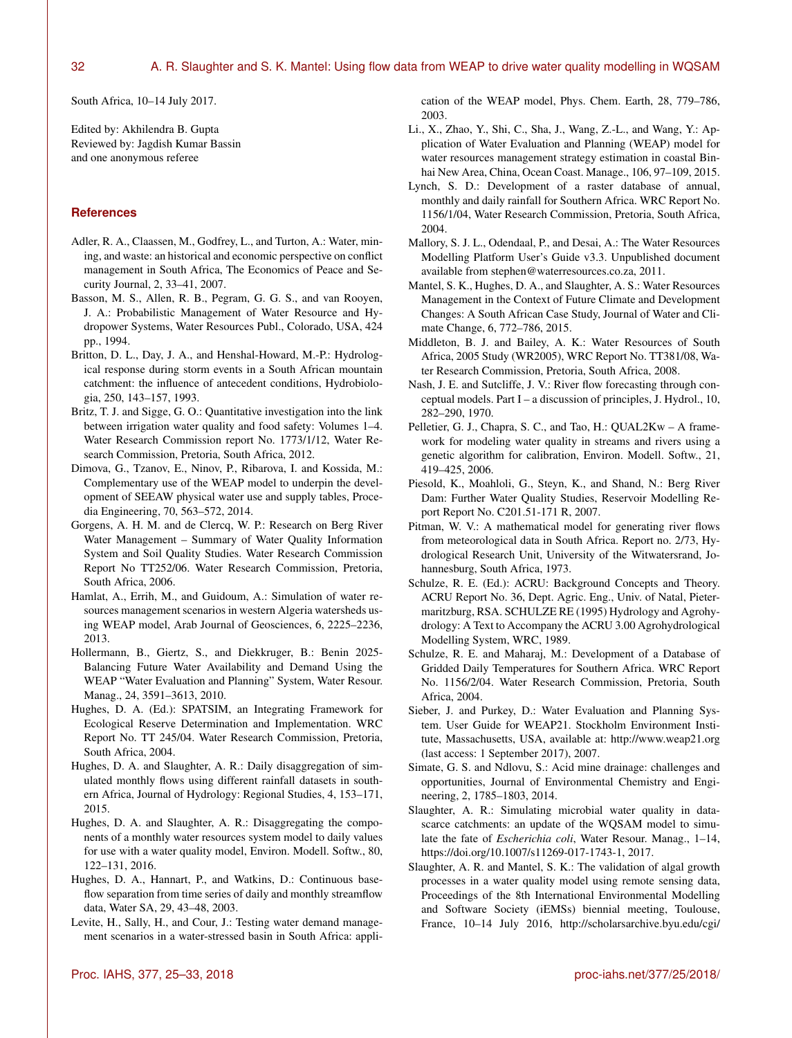South Africa, 10–14 July 2017.

Edited by: Akhilendra B. Gupta Reviewed by: Jagdish Kumar Bassin and one anonymous referee

## **References**

- Adler, R. A., Claassen, M., Godfrey, L., and Turton, A.: Water, mining, and waste: an historical and economic perspective on conflict management in South Africa, The Economics of Peace and Security Journal, 2, 33–41, 2007.
- Basson, M. S., Allen, R. B., Pegram, G. G. S., and van Rooyen, J. A.: Probabilistic Management of Water Resource and Hydropower Systems, Water Resources Publ., Colorado, USA, 424 pp., 1994.
- Britton, D. L., Day, J. A., and Henshal-Howard, M.-P.: Hydrological response during storm events in a South African mountain catchment: the influence of antecedent conditions, Hydrobiologia, 250, 143–157, 1993.
- Britz, T. J. and Sigge, G. O.: Quantitative investigation into the link between irrigation water quality and food safety: Volumes 1–4. Water Research Commission report No. 1773/1/12, Water Research Commission, Pretoria, South Africa, 2012.
- Dimova, G., Tzanov, E., Ninov, P., Ribarova, I. and Kossida, M.: Complementary use of the WEAP model to underpin the development of SEEAW physical water use and supply tables, Procedia Engineering, 70, 563–572, 2014.
- Gorgens, A. H. M. and de Clercq, W. P.: Research on Berg River Water Management – Summary of Water Quality Information System and Soil Quality Studies. Water Research Commission Report No TT252/06. Water Research Commission, Pretoria, South Africa, 2006.
- Hamlat, A., Errih, M., and Guidoum, A.: Simulation of water resources management scenarios in western Algeria watersheds using WEAP model, Arab Journal of Geosciences, 6, 2225–2236, 2013.
- Hollermann, B., Giertz, S., and Diekkruger, B.: Benin 2025- Balancing Future Water Availability and Demand Using the WEAP "Water Evaluation and Planning" System, Water Resour. Manag., 24, 3591–3613, 2010.
- Hughes, D. A. (Ed.): SPATSIM, an Integrating Framework for Ecological Reserve Determination and Implementation. WRC Report No. TT 245/04. Water Research Commission, Pretoria, South Africa, 2004.
- Hughes, D. A. and Slaughter, A. R.: Daily disaggregation of simulated monthly flows using different rainfall datasets in southern Africa, Journal of Hydrology: Regional Studies, 4, 153–171, 2015.
- Hughes, D. A. and Slaughter, A. R.: Disaggregating the components of a monthly water resources system model to daily values for use with a water quality model, Environ. Modell. Softw., 80, 122–131, 2016.
- Hughes, D. A., Hannart, P., and Watkins, D.: Continuous baseflow separation from time series of daily and monthly streamflow data, Water SA, 29, 43–48, 2003.
- Levite, H., Sally, H., and Cour, J.: Testing water demand management scenarios in a water-stressed basin in South Africa: appli-

cation of the WEAP model, Phys. Chem. Earth, 28, 779–786, 2003.

- Li., X., Zhao, Y., Shi, C., Sha, J., Wang, Z.-L., and Wang, Y.: Application of Water Evaluation and Planning (WEAP) model for water resources management strategy estimation in coastal Binhai New Area, China, Ocean Coast. Manage., 106, 97–109, 2015.
- Lynch, S. D.: Development of a raster database of annual, monthly and daily rainfall for Southern Africa. WRC Report No. 1156/1/04, Water Research Commission, Pretoria, South Africa, 2004.
- Mallory, S. J. L., Odendaal, P., and Desai, A.: The Water Resources Modelling Platform User's Guide v3.3. Unpublished document available from stephen@waterresources.co.za, 2011.
- Mantel, S. K., Hughes, D. A., and Slaughter, A. S.: Water Resources Management in the Context of Future Climate and Development Changes: A South African Case Study, Journal of Water and Climate Change, 6, 772–786, 2015.
- Middleton, B. J. and Bailey, A. K.: Water Resources of South Africa, 2005 Study (WR2005), WRC Report No. TT381/08, Water Research Commission, Pretoria, South Africa, 2008.
- Nash, J. E. and Sutcliffe, J. V.: River flow forecasting through conceptual models. Part I – a discussion of principles, J. Hydrol., 10, 282–290, 1970.
- Pelletier, G. J., Chapra, S. C., and Tao, H.: QUAL2Kw A framework for modeling water quality in streams and rivers using a genetic algorithm for calibration, Environ. Modell. Softw., 21, 419–425, 2006.
- Piesold, K., Moahloli, G., Steyn, K., and Shand, N.: Berg River Dam: Further Water Quality Studies, Reservoir Modelling Report Report No. C201.51-171 R, 2007.
- Pitman, W. V.: A mathematical model for generating river flows from meteorological data in South Africa. Report no. 2/73, Hydrological Research Unit, University of the Witwatersrand, Johannesburg, South Africa, 1973.
- Schulze, R. E. (Ed.): ACRU: Background Concepts and Theory. ACRU Report No. 36, Dept. Agric. Eng., Univ. of Natal, Pietermaritzburg, RSA. SCHULZE RE (1995) Hydrology and Agrohydrology: A Text to Accompany the ACRU 3.00 Agrohydrological Modelling System, WRC, 1989.
- Schulze, R. E. and Maharaj, M.: Development of a Database of Gridded Daily Temperatures for Southern Africa. WRC Report No. 1156/2/04. Water Research Commission, Pretoria, South Africa, 2004.
- Sieber, J. and Purkey, D.: Water Evaluation and Planning System. User Guide for WEAP21. Stockholm Environment Institute, Massachusetts, USA, available at: <http://www.weap21.org> (last access: 1 September 2017), 2007.
- Simate, G. S. and Ndlovu, S.: Acid mine drainage: challenges and opportunities, Journal of Environmental Chemistry and Engineering, 2, 1785–1803, 2014.
- Slaughter, A. R.: Simulating microbial water quality in datascarce catchments: an update of the WQSAM model to simulate the fate of *Escherichia coli*, Water Resour. Manag., 1–14, https://doi.org[/10.1007/s11269-017-1743-1,](https://doi.org/10.1007/s11269-017-1743-1) 2017.
- Slaughter, A. R. and Mantel, S. K.: The validation of algal growth processes in a water quality model using remote sensing data, Proceedings of the 8th International Environmental Modelling and Software Society (iEMSs) biennial meeting, Toulouse, France, 10–14 July 2016, [http://scholarsarchive.byu.edu/cgi/](http://scholarsarchive.byu.edu/cgi/viewcontent.cgi?article=1374&context=iemssconference)